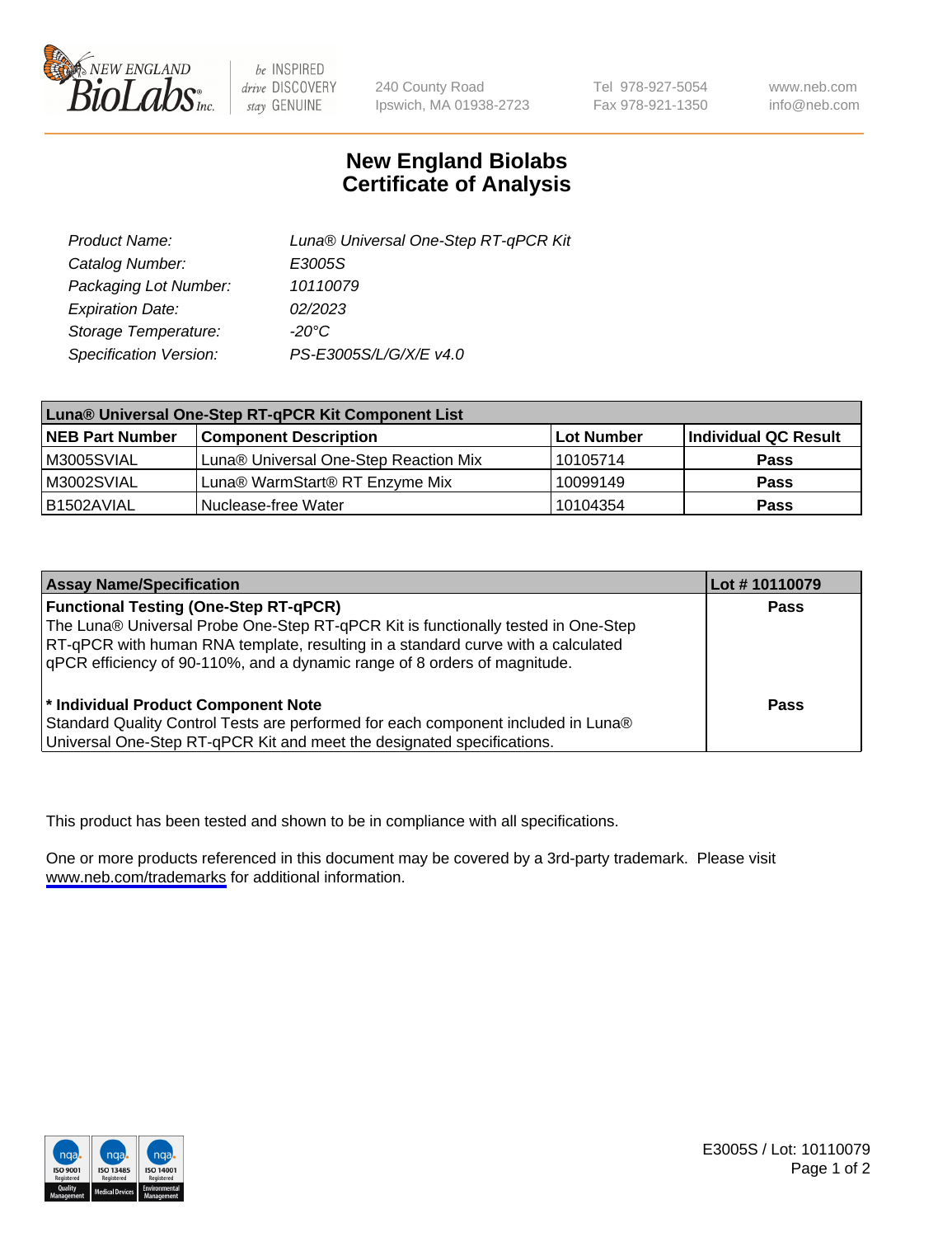

be INSPIRED drive DISCOVERY stay GENUINE

240 County Road Ipswich, MA 01938-2723 Tel 978-927-5054 Fax 978-921-1350

www.neb.com info@neb.com

## **New England Biolabs Certificate of Analysis**

| Product Name:           | Luna® Universal One-Step RT-qPCR Kit |
|-------------------------|--------------------------------------|
| Catalog Number:         | E3005S                               |
| Packaging Lot Number:   | 10110079                             |
| <b>Expiration Date:</b> | 02/2023                              |
| Storage Temperature:    | $-20^{\circ}$ C                      |
| Specification Version:  | PS-E3005S/L/G/X/E v4.0               |

| Luna® Universal One-Step RT-qPCR Kit Component List |                                       |            |                      |  |
|-----------------------------------------------------|---------------------------------------|------------|----------------------|--|
| <b>NEB Part Number</b>                              | <b>Component Description</b>          | Lot Number | Individual QC Result |  |
| M3005SVIAL                                          | Luna® Universal One-Step Reaction Mix | 10105714   | Pass                 |  |
| M3002SVIAL                                          | Luna® WarmStart® RT Enzyme Mix        | 10099149   | <b>Pass</b>          |  |
| B1502AVIAL                                          | Nuclease-free Water                   | 10104354   | <b>Pass</b>          |  |

| <b>Assay Name/Specification</b>                                                                                                                                                                                                                                                                    | Lot #10110079 |
|----------------------------------------------------------------------------------------------------------------------------------------------------------------------------------------------------------------------------------------------------------------------------------------------------|---------------|
| <b>Functional Testing (One-Step RT-qPCR)</b><br>The Luna® Universal Probe One-Step RT-qPCR Kit is functionally tested in One-Step<br>RT-qPCR with human RNA template, resulting in a standard curve with a calculated<br>qPCR efficiency of 90-110%, and a dynamic range of 8 orders of magnitude. | <b>Pass</b>   |
| <sup>*</sup> Individual Product Component Note<br>Standard Quality Control Tests are performed for each component included in Luna®<br>Universal One-Step RT-qPCR Kit and meet the designated specifications.                                                                                      | Pass          |

This product has been tested and shown to be in compliance with all specifications.

One or more products referenced in this document may be covered by a 3rd-party trademark. Please visit <www.neb.com/trademarks>for additional information.